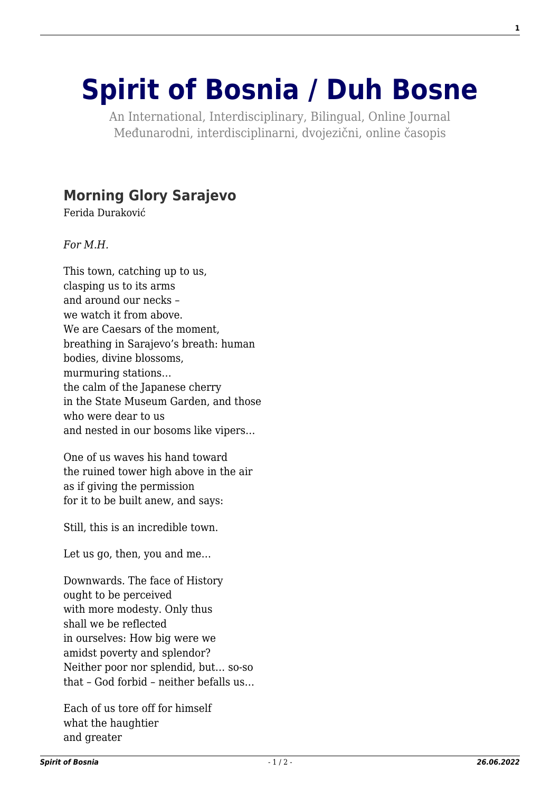## **[Spirit of Bosnia / Duh Bosne](http://www.spiritofbosnia.org/)**

An International, Interdisciplinary, Bilingual, Online Journal Međunarodni, interdisciplinarni, dvojezični, online časopis

## **[Morning Glory Sarajevo](http://www.spiritofbosnia.org/volume-2-no-4-2007-october/morning-glory-sarajevo/)**

Ferida Duraković

*For M.H.*

This town, catching up to us, clasping us to its arms and around our necks – we watch it from above. We are Caesars of the moment. breathing in Sarajevo's breath: human bodies, divine blossoms, murmuring stations… the calm of the Japanese cherry in the State Museum Garden, and those who were dear to us and nested in our bosoms like vipers…

One of us waves his hand toward the ruined tower high above in the air as if giving the permission for it to be built anew, and says:

Still, this is an incredible town.

Let us go, then, you and me…

Downwards. The face of History ought to be perceived with more modesty. Only thus shall we be reflected in ourselves: How big were we amidst poverty and splendor? Neither poor nor splendid, but… so-so that – God forbid – neither befalls us…

Each of us tore off for himself what the haughtier and greater